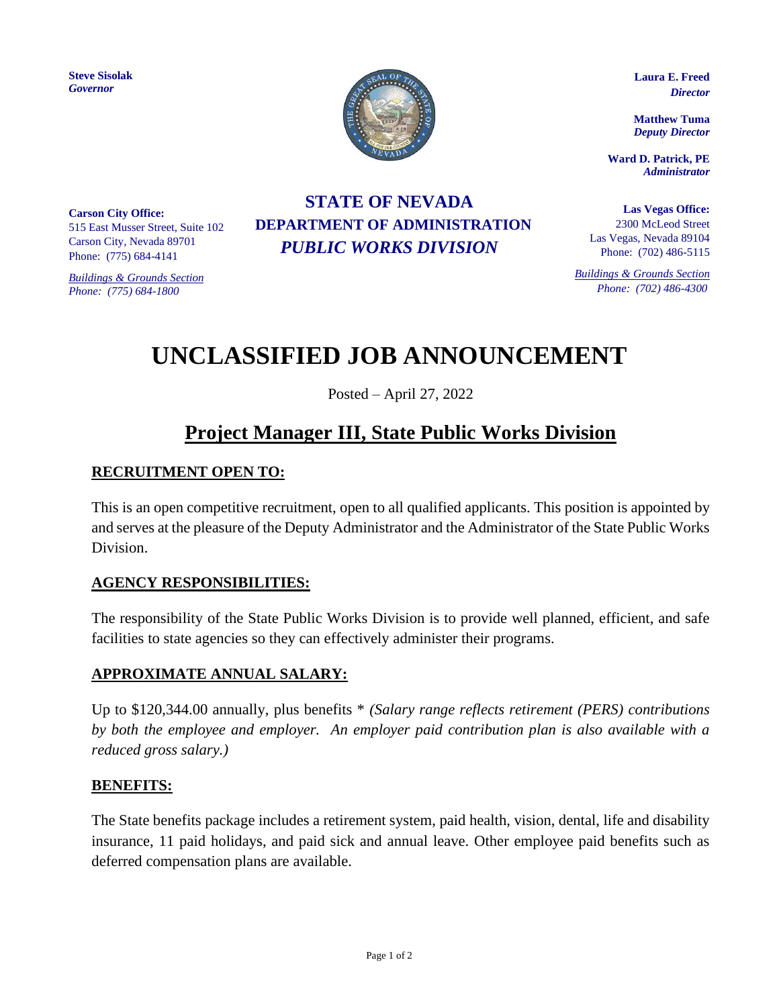**Steve Sisolak** *Governor*

**Carson City Office:**

515 East Musser Street, Suite 102 Carson City, Nevada 89701 Phone: (775) 684-4141

*Buildings & Grounds Section Phone: (775) 684-1800*

# **STATE OF NEVADA DEPARTMENT OF ADMINISTRATION** *PUBLIC WORKS DIVISION*

**Laura E. Freed**  *Director*

**Matthew Tuma** *Deputy Director*

**Ward D. Patrick, PE** *Administrator*

**Las Vegas Office:** 2300 McLeod Street Las Vegas, Nevada 89104 Phone: (702) 486-5115

*Buildings & Grounds Section Phone: (702) 486-4300*

# **UNCLASSIFIED JOB ANNOUNCEMENT**

Posted – April 27, 2022

# **Project Manager III, State Public Works Division**

# **RECRUITMENT OPEN TO:**

This is an open competitive recruitment, open to all qualified applicants. This position is appointed by and serves at the pleasure of the Deputy Administrator and the Administrator of the State Public Works Division.

# **AGENCY RESPONSIBILITIES:**

The responsibility of the State Public Works Division is to provide well planned, efficient, and safe facilities to state agencies so they can effectively administer their programs.

#### **APPROXIMATE ANNUAL SALARY:**

Up to \$120,344.00 annually, plus benefits \* *(Salary range reflects retirement (PERS) contributions by both the employee and employer. An employer paid contribution plan is also available with a reduced gross salary.)*

#### **BENEFITS:**

The State benefits package includes a retirement system, paid health, vision, dental, life and disability insurance, 11 paid holidays, and paid sick and annual leave. Other employee paid benefits such as deferred compensation plans are available.